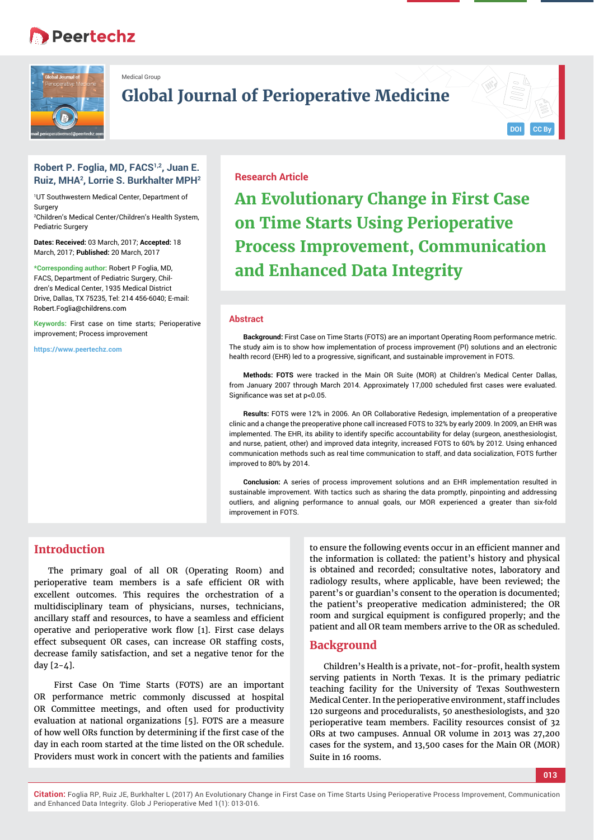# **Peertechz**



Medical Group

## **Global Journal of Perioperative Medicine**

#### **Robert P. Foglia, MD, FACS1,2, Juan E. Ruiz, MHA2, Lorrie S. Burkhalter MPH2**

1 UT Southwestern Medical Center, Department of Surgery

2 Children's Medical Center/Children's Health System, Pediatric Surgery

**Dates: Received:** 03 March, 2017; **Accepted:** 18 March, 2017; **Published:** 20 March, 2017

**\*Corresponding author:** Robert P Foglia, MD, FACS, Department of Pediatric Surgery, Children's Medical Center, 1935 Medical District Drive, Dallas, TX 75235, Tel: 214 456-6040; E-mail: Robert.Foglia@childrens.com

**Keywords:** First case on time starts; Perioperative improvement; Process improvement

**https://www.peertechz.com**

## **Research Article**

**An Evolutionary Change in First Case on Time Starts Using Perioperative Process Improvement, Communication and Enhanced Data Integrity**

#### **Abstract**

**Background:** First Case on Time Starts (FOTS) are an important Operating Room performance metric. The study aim is to show how implementation of process improvement (PI) solutions and an electronic health record (EHR) led to a progressive, significant, and sustainable improvement in FOTS.

**Methods: FOTS** were tracked in the Main OR Suite (MOR) at Children's Medical Center Dallas, from January 2007 through March 2014. Approximately 17,000 scheduled first cases were evaluated. Significance was set at p<0.05.

**Results:** FOTS were 12% in 2006. An OR Collaborative Redesign, implementation of a preoperative clinic and a change the preoperative phone call increased FOTS to 32% by early 2009. In 2009, an EHR was implemented. The EHR, its ability to identify specific accountability for delay (surgeon, anesthesiologist, and nurse, patient, other) and improved data integrity, increased FOTS to 60% by 2012. Using enhanced communication methods such as real time communication to staff, and data socialization, FOTS further improved to 80% by 2014.

**Conclusion:** A series of process improvement solutions and an EHR implementation resulted in sustainable improvement. With tactics such as sharing the data promptly, pinpointing and addressing outliers, and aligning performance to annual goals, our MOR experienced a greater than six-fold improvement in FOTS.

## **Introduction**

The primary goal of all OR (Operating Room) and perioperative team members is a safe efficient OR with excellent outcomes. This requires the orchestration of a multidisciplinary team of physicians, nurses, technicians, ancillary staff and resources, to have a seamless and efficient operative and perioperative work flow [1]. First case delays effect subsequent OR cases, can increase OR staffing costs, decrease family satisfaction, and set a negative tenor for the day [2-4].

 First Case On Time Starts (FOTS) are an important OR performance metric commonly discussed at hospital OR Committee meetings, and often used for productivity evaluation at national organizations [5]. FOTS are a measure of how well ORs function by determining if the first case of the day in each room started at the time listed on the OR schedule. Providers must work in concert with the patients and families

to ensure the following events occur in an efficient manner and the information is collated: the patient's history and physical is obtained and recorded; consultative notes, laboratory and radiology results, where applicable, have been reviewed; the parent's or guardian's consent to the operation is documented; the patient's preoperative medication administered; the OR room and surgical equipment is configured properly; and the patient and all OR team members arrive to the OR as scheduled.

## **Background**

Children's Health is a private, not-for-profit, health system serving patients in North Texas. It is the primary pediatric teaching facility for the University of Texas Southwestern Medical Center. In the perioperative environment, staff includes 120 surgeons and proceduralists, 50 anesthesiologists, and 320 perioperative team members. Facility resources consist of 32 ORs at two campuses. Annual OR volume in 2013 was 27,200 cases for the system, and 13,500 cases for the Main OR (MOR) Suite in 16 rooms.

**013**

**DOI CC By**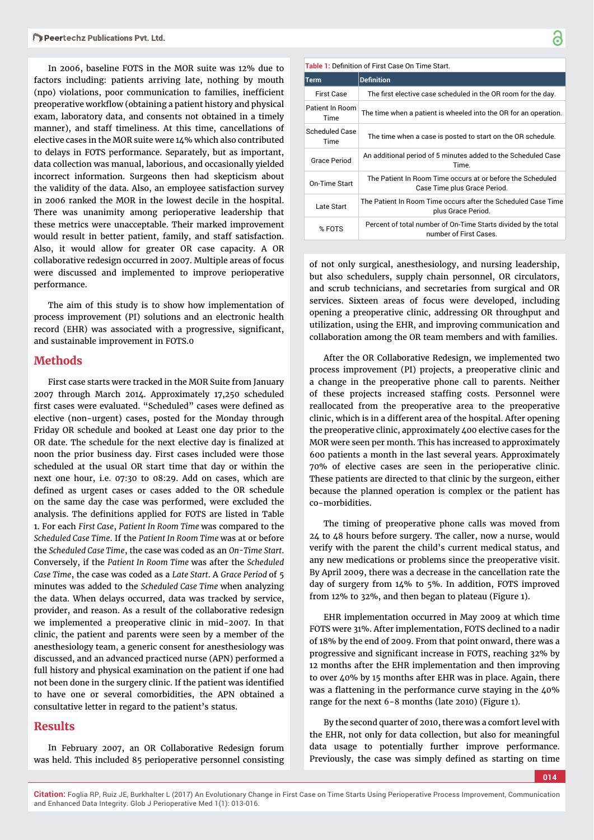In 2006, baseline FOTS in the MOR suite was 12% due to factors including: patients arriving late, nothing by mouth (npo) violations, poor communication to families, inefficient preoperative workflow (obtaining a patient history and physical exam, laboratory data, and consents not obtained in a timely manner), and staff timeliness. At this time, cancellations of elective cases in the MOR suite were 14% which also contributed to delays in FOTS performance. Separately, but as important, data collection was manual, laborious, and occasionally yielded incorrect information. Surgeons then had skepticism about the validity of the data. Also, an employee satisfaction survey in 2006 ranked the MOR in the lowest decile in the hospital. There was unanimity among perioperative leadership that these metrics were unacceptable. Their marked improvement would result in better patient, family, and staff satisfaction. Also, it would allow for greater OR case capacity. A OR collaborative redesign occurred in 2007. Multiple areas of focus were discussed and implemented to improve perioperative performance.

The aim of this study is to show how implementation of process improvement (PI) solutions and an electronic health record (EHR) was associated with a progressive, significant, and sustainable improvement in FOTS.0

#### **Methods**

First case starts were tracked in the MOR Suite from January 2007 through March 2014. Approximately 17,250 scheduled first cases were evaluated. "Scheduled" cases were defined as elective (non-urgent) cases, posted for the Monday through Friday OR schedule and booked at Least one day prior to the OR date. The schedule for the next elective day is finalized at noon the prior business day. First cases included were those scheduled at the usual OR start time that day or within the next one hour, i.e. 07:30 to 08:29. Add on cases, which are defined as urgent cases or cases added to the OR schedule on the same day the case was performed, were excluded the analysis. The definitions applied for FOTS are listed in Table 1. For each *First Case*, *Patient In Room Time* was compared to the *Scheduled Case Time*. If the *Patient In Room Time* was at or before the *Scheduled Case Time*, the case was coded as an *On-Time Start*. Conversely, if the *Patient In Room Time* was after the *Scheduled Case Time*, the case was coded as a *Late Start*. A *Grace Period* of 5 minutes was added to the *Scheduled Case Time* when analyzing the data. When delays occurred, data was tracked by service, provider, and reason. As a result of the collaborative redesign we implemented a preoperative clinic in mid-2007. In that clinic, the patient and parents were seen by a member of the anesthesiology team, a generic consent for anesthesiology was discussed, and an advanced practiced nurse (APN) performed a full history and physical examination on the patient if one had not been done in the surgery clinic. If the patient was identified to have one or several comorbidities, the APN obtained a consultative letter in regard to the patient's status.

## **Results**

In February 2007, an OR Collaborative Redesign forum was held. This included 85 perioperative personnel consisting

| Table 1: Definition of First Case On Time Start. |                                                                                            |  |  |  |
|--------------------------------------------------|--------------------------------------------------------------------------------------------|--|--|--|
| Term                                             | <b>Definition</b>                                                                          |  |  |  |
| <b>First Case</b>                                | The first elective case scheduled in the OR room for the day.                              |  |  |  |
| Patient In Room<br>Time                          | The time when a patient is wheeled into the OR for an operation.                           |  |  |  |
| Scheduled Case<br>Time                           | The time when a case is posted to start on the OR schedule.                                |  |  |  |
| Grace Period                                     | An additional period of 5 minutes added to the Scheduled Case<br>Time.                     |  |  |  |
| On-Time Start                                    | The Patient In Room Time occurs at or before the Scheduled<br>Case Time plus Grace Period. |  |  |  |
| Late Start                                       | The Patient In Room Time occurs after the Scheduled Case Time<br>plus Grace Period.        |  |  |  |
| % FOTS                                           | Percent of total number of On-Time Starts divided by the total<br>number of First Cases.   |  |  |  |

of not only surgical, anesthesiology, and nursing leadership, but also schedulers, supply chain personnel, OR circulators, and scrub technicians, and secretaries from surgical and OR services. Sixteen areas of focus were developed, including opening a preoperative clinic, addressing OR throughput and utilization, using the EHR, and improving communication and collaboration among the OR team members and with families.

After the OR Collaborative Redesign, we implemented two process improvement (PI) projects, a preoperative clinic and a change in the preoperative phone call to parents. Neither of these projects increased staffing costs. Personnel were reallocated from the preoperative area to the preoperative clinic, which is in a different area of the hospital. After opening the preoperative clinic, approximately 400 elective cases for the MOR were seen per month. This has increased to approximately 600 patients a month in the last several years. Approximately 70% of elective cases are seen in the perioperative clinic. These patients are directed to that clinic by the surgeon, either because the planned operation is complex or the patient has co-morbidities.

The timing of preoperative phone calls was moved from 24 to 48 hours before surgery. The caller, now a nurse, would verify with the parent the child's current medical status, and any new medications or problems since the preoperative visit. By April 2009, there was a decrease in the cancellation rate the day of surgery from 14% to 5%. In addition, FOTS improved from 12% to 32%, and then began to plateau (Figure 1).

EHR implementation occurred in May 2009 at which time FOTS were 31%. After implementation, FOTS declined to a nadir of 18% by the end of 2009. From that point onward, there was a progressive and significant increase in FOTS, reaching 32% by 12 months after the EHR implementation and then improving to over 40% by 15 months after EHR was in place. Again, there was a flattening in the performance curve staying in the 40% range for the next 6-8 months (late 2010) (Figure 1).

By the second quarter of 2010, there was a comfort level with the EHR, not only for data collection, but also for meaningful data usage to potentially further improve performance. Previously, the case was simply defined as starting on time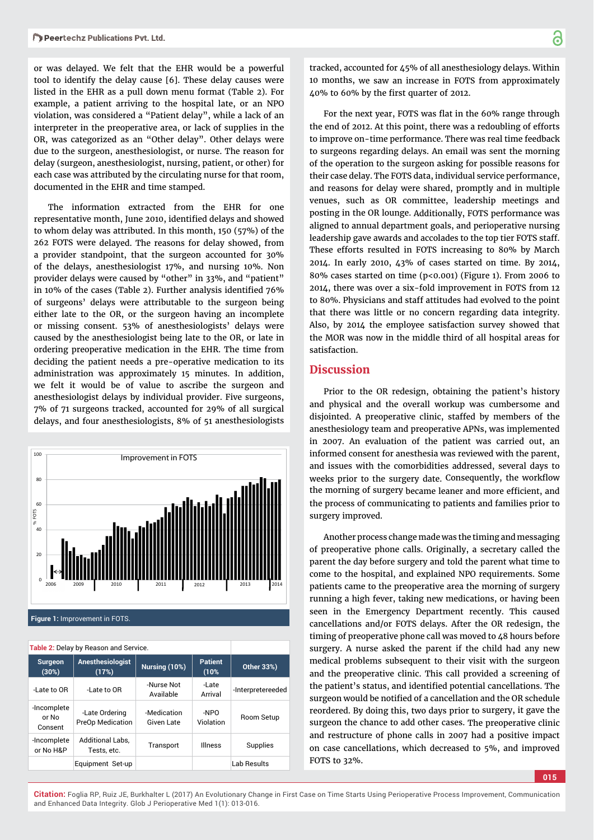or was delayed. We felt that the EHR would be a powerful tool to identify the delay cause [6]. These delay causes were listed in the EHR as a pull down menu format (Table 2). For example, a patient arriving to the hospital late, or an NPO violation, was considered a "Patient delay", while a lack of an interpreter in the preoperative area, or lack of supplies in the OR, was categorized as an "Other delay". Other delays were due to the surgeon, anesthesiologist, or nurse. The reason for delay (surgeon, anesthesiologist, nursing, patient, or other) for each case was attributed by the circulating nurse for that room, documented in the EHR and time stamped.

The information extracted from the EHR for one representative month, June 2010, identified delays and showed to whom delay was attributed. In this month, 150 (57%) of the 262 FOTS were delayed. The reasons for delay showed, from a provider standpoint, that the surgeon accounted for 30% of the delays, anesthesiologist 17%, and nursing 10%. Non provider delays were caused by "other" in 33%, and "patient" in 10% of the cases (Table 2). Further analysis identified  $76\%$ of surgeons' delays were attributable to the surgeon being either late to the OR, or the surgeon having an incomplete or missing consent. 53% of anesthesiologists' delays were caused by the anesthesiologist being late to the OR, or late in ordering preoperative medication in the EHR. The time from deciding the patient needs a pre-operative medication to its administration was approximately 15 minutes. In addition, we felt it would be of value to ascribe the surgeon and anesthesiologist delays by individual provider. Five surgeons, 7% of 71 surgeons tracked, accounted for 29% of all surgical delays, and four anesthesiologists, 8% of 51 anesthesiologists



**Figure 1:** Improvement in FOTS.

**Table 2:** Delay by Reason and Service.

| <b>Surgeon</b><br>(30%)         | Anesthesiologist<br>(17%)                 | Nursing (10%)             | <b>Patient</b><br>(10% | <b>Other 33%)</b> |
|---------------------------------|-------------------------------------------|---------------------------|------------------------|-------------------|
| -Late to OR                     | -Late to OR                               | -Nurse Not<br>Available   | -Late<br>Arrival       | -Interpretereeded |
| -Incomplete<br>or No<br>Consent | -Late Ordering<br><b>PreOp Medication</b> | -Medication<br>Given Late | -NPO<br>Violation      | Room Setup        |
| -Incomplete<br>or No H&P        | <b>Additional Labs,</b><br>Tests, etc.    | Transport                 | <b>Illness</b>         | Supplies          |
|                                 | Equipment Set-up                          |                           |                        | Lab Results       |

tracked, accounted for 45% of all anesthesiology delays. Within 10 months, we saw an increase in FOTS from approximately  $40\%$  to 60% by the first quarter of 2012.

For the next year, FOTS was flat in the 60% range through the end of 2012. At this point, there was a redoubling of efforts to improve on-time performance. There was real time feedback to surgeons regarding delays. An email was sent the morning of the operation to the surgeon asking for possible reasons for their case delay. The FOTS data, individual service performance, and reasons for delay were shared, promptly and in multiple venues, such as OR committee, leadership meetings and posting in the OR lounge. Additionally, FOTS performance was aligned to annual department goals, and perioperative nursing leadership gave awards and accolades to the top tier FOTS staff. These efforts resulted in FOTS increasing to 80% by March 2014. In early 2010, 43% of cases started on time. By 2014, 80% cases started on time (p<0.001) (Figure 1). From 2006 to 2014, there was over a six-fold improvement in FOTS from 12 to 80%. Physicians and staff attitudes had evolved to the point that there was little or no concern regarding data integrity. Also, by 2014 the employee satisfaction survey showed that the MOR was now in the middle third of all hospital areas for satisfaction.

### **Discussion**

Prior to the OR redesign, obtaining the patient's history and physical and the overall workup was cumbersome and disjointed. A preoperative clinic, staffed by members of the anesthesiology team and preoperative APNs, was implemented in 2007. An evaluation of the patient was carried out, an informed consent for anesthesia was reviewed with the parent, and issues with the comorbidities addressed, several days to weeks prior to the surgery date. Consequently, the workflow the morning of surgery became leaner and more efficient, and the process of communicating to patients and families prior to surgery improved.

Another process change made was the timing and messaging of preoperative phone calls. Originally, a secretary called the parent the day before surgery and told the parent what time to come to the hospital, and explained NPO requirements. Some patients came to the preoperative area the morning of surgery running a high fever, taking new medications, or having been seen in the Emergency Department recently. This caused cancellations and/or FOTS delays. After the OR redesign, the timing of preoperative phone call was moved to 48 hours before surgery. A nurse asked the parent if the child had any new medical problems subsequent to their visit with the surgeon and the preoperative clinic. This call provided a screening of the patient's status, and identified potential cancellations. The surgeon would be notified of a cancellation and the OR schedule reordered. By doing this, two days prior to surgery, it gave the surgeon the chance to add other cases. The preoperative clinic and restructure of phone calls in 2007 had a positive impact on case cancellations, which decreased to 5%, and improved FOTS to 32%.

**015**

**Citation:** Foglia RP, Ruiz JE, Burkhalter L (2017) An Evolutionary Change in First Case on Time Starts Using Perioperative Process Improvement, Communication and Enhanced Data Integrity. Glob J Perioperative Med 1(1): 013-016.